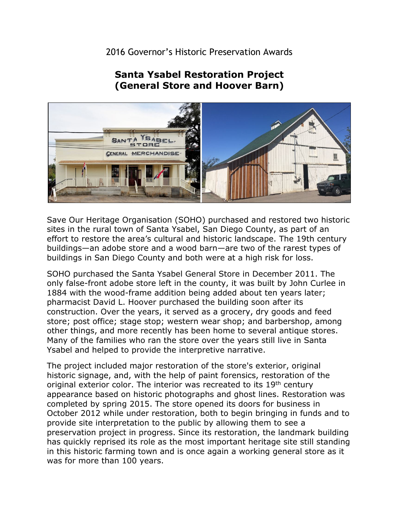## 2016 Governor's Historic Preservation Awards

## **(General Store and Hoover Barn) Santa Ysabel Restoration Project**



 buildings in San Diego County and both were at a high risk for loss. Save Our Heritage Organisation (SOHO) purchased and restored two historic sites in the rural town of Santa Ysabel, San Diego County, as part of an effort to restore the area's cultural and historic landscape. The 19th century buildings—an adobe store and a wood barn—are two of the rarest types of

 1884 with the wood-frame addition being added about ten years later; Many of the families who ran the store over the years still live in Santa Ysabel and helped to provide the interpretive narrative. SOHO purchased the Santa Ysabel General Store in December 2011. The only false-front adobe store left in the county, it was built by John Curlee in pharmacist David L. Hoover purchased the building soon after its construction. Over the years, it served as a grocery, dry goods and feed store; post office; stage stop; western wear shop; and barbershop, among other things, and more recently has been home to several antique stores.

 appearance based on historic photographs and ghost lines. Restoration was preservation project in progress. Since its restoration, the landmark building The project included major restoration of the store's exterior, original historic signage, and, with the help of paint forensics, restoration of the original exterior color. The interior was recreated to its 19<sup>th</sup> century completed by spring 2015. The store opened its doors for business in October 2012 while under restoration, both to begin bringing in funds and to provide site interpretation to the public by allowing them to see a has quickly reprised its role as the most important heritage site still standing in this historic farming town and is once again a working general store as it was for more than 100 years.